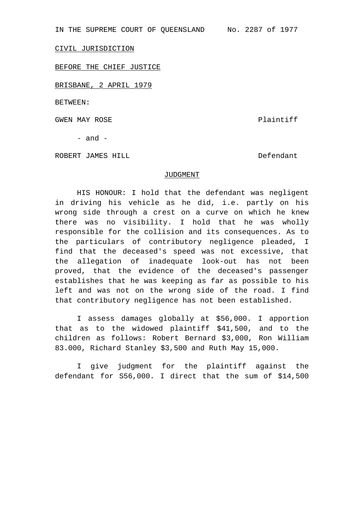IN THE SUPREME COURT OF QUEENSLAND No. 2287 of 1977

CIVIL JURISDICTION

BEFORE THE CHIEF JUSTICE

BRISBANE, 2 APRIL 1979

BETWEEN:

GWEN MAY ROSE SALL SERVICE SERVICE SERVICE Plaintiff

 $-$  and  $-$ 

ROBERT JAMES HILL **Example 2018** Defendant

## JUDGMENT

HIS HONOUR: I hold that the defendant was negligent in driving his vehicle as he did, i.e. partly on his wrong side through a crest on a curve on which he knew there was no visibility. I hold that he was wholly responsible for the collision and its consequences. As to the particulars of contributory negligence pleaded, I find that the deceased's speed was not excessive, that the allegation of inadequate look-out has not been proved, that the evidence of the deceased's passenger establishes that he was keeping as far as possible to his left and was not on the wrong side of the road. I find that contributory negligence has not been established.

I assess damages globally at \$56,000. I apportion that as to the widowed plaintiff \$41,500, and to the children as follows: Robert Bernard \$3,000, Ron William 83.000, Richard Stanley \$3,500 and Ruth May 15,000.

I give judgment for the plaintiff against the defendant for S56,000. I direct that the sum of \$14,500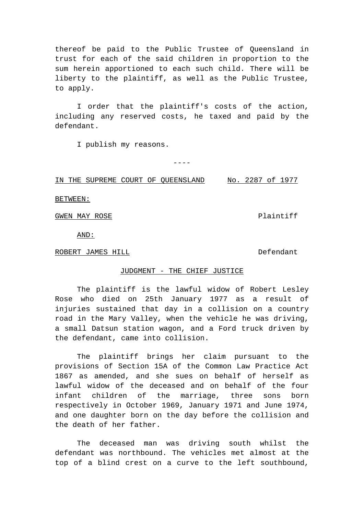thereof be paid to the Public Trustee of Queensland in trust for each of the said children in proportion to the sum herein apportioned to each such child. There will be liberty to the plaintiff, as well as the Public Trustee, to apply.

I order that the plaintiff's costs of the action, including any reserved costs, he taxed and paid by the defendant.

I publish my reasons.

IN THE SUPREME COURT OF QUEENSLAND No. 2287 of 1977

----

BETWEEN:

GWEN MAY ROSE SALL AND RESERVE TO A Plaintiff

AND:

ROBERT JAMES HILL **Example 2018** Defendant

## JUDGMENT - THE CHIEF JUSTICE

The plaintiff is the lawful widow of Robert Lesley Rose who died on 25th January 1977 as a result of injuries sustained that day in a collision on a country road in the Mary Valley, when the vehicle he was driving, a small Datsun station wagon, and a Ford truck driven by the defendant, came into collision.

The plaintiff brings her claim pursuant to the provisions of Section 15A of the Common Law Practice Act 1867 as amended, and she sues on behalf of herself as lawful widow of the deceased and on behalf of the four infant children of the marriage, three sons born respectively in October 1969, January 1971 and June 1974, and one daughter born on the day before the collision and the death of her father.

The deceased man was driving south whilst the defendant was northbound. The vehicles met almost at the top of a blind crest on a curve to the left southbound,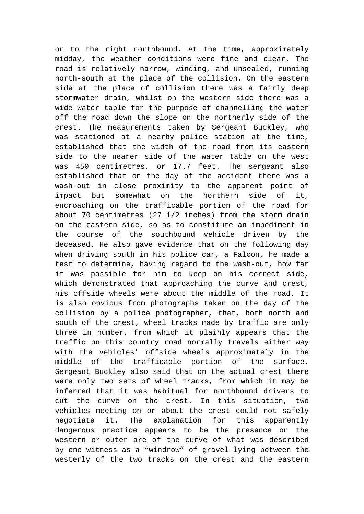or to the right northbound. At the time, approximately midday, the weather conditions were fine and clear. The road is relatively narrow, winding, and unsealed, running north-south at the place of the collision. On the eastern side at the place of collision there was a fairly deep stormwater drain, whilst on the western side there was a wide water table for the purpose of channelling the water off the road down the slope on the northerly side of the crest. The measurements taken by Sergeant Buckley, who was stationed at a nearby police station at the time, established that the width of the road from its eastern side to the nearer side of the water table on the west was 450 centimetres, or 17.7 feet. The sergeant also established that on the day of the accident there was a wash-out in close proximity to the apparent point of impact but somewhat on the northern side of it, encroaching on the trafficable portion of the road for about 70 centimetres (27 1/2 inches) from the storm drain on the eastern side, so as to constitute an impediment in the course of the southbound vehicle driven by the deceased. He also gave evidence that on the following day when driving south in his police car, a Falcon, he made a test to determine, having regard to the wash-out, how far it was possible for him to keep on his correct side, which demonstrated that approaching the curve and crest, his offside wheels were about the middle of the road. It is also obvious from photographs taken on the day of the collision by a police photographer, that, both north and south of the crest, wheel tracks made by traffic are only three in number, from which it plainly appears that the traffic on this country road normally travels either way with the vehicles' offside wheels approximately in the middle of the trafficable portion of the surface. Sergeant Buckley also said that on the actual crest there were only two sets of wheel tracks, from which it may be inferred that it was habitual for northbound drivers to cut the curve on the crest. In this situation, two vehicles meeting on or about the crest could not safely negotiate it. The explanation for this apparently dangerous practice appears to be the presence on the western or outer are of the curve of what was described by one witness as a "windrow" of gravel lying between the westerly of the two tracks on the crest and the eastern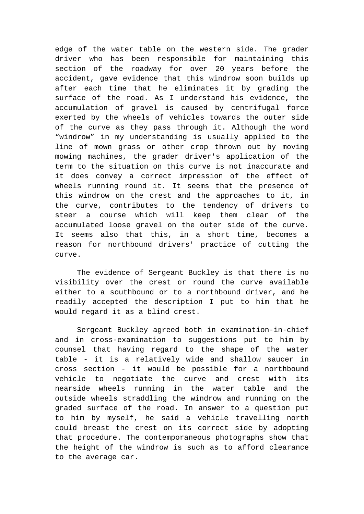edge of the water table on the western side. The grader driver who has been responsible for maintaining this section of the roadway for over 20 years before the accident, gave evidence that this windrow soon builds up after each time that he eliminates it by grading the surface of the road. As I understand his evidence, the accumulation of gravel is caused by centrifugal force exerted by the wheels of vehicles towards the outer side of the curve as they pass through it. Although the word "windrow" in my understanding is usually applied to the line of mown grass or other crop thrown out by moving mowing machines, the grader driver's application of the term to the situation on this curve is not inaccurate and it does convey a correct impression of the effect of wheels running round it. It seems that the presence of this windrow on the crest and the approaches to it, in the curve, contributes to the tendency of drivers to steer a course which will keep them clear of the accumulated loose gravel on the outer side of the curve. It seems also that this, in a short time, becomes a reason for northbound drivers' practice of cutting the curve.

The evidence of Sergeant Buckley is that there is no visibility over the crest or round the curve available either to a southbound or to a northbound driver, and he readily accepted the description I put to him that he would regard it as a blind crest.

Sergeant Buckley agreed both in examination-in-chief and in cross-examination to suggestions put to him by counsel that having regard to the shape of the water table - it is a relatively wide and shallow saucer in cross section - it would be possible for a northbound vehicle to negotiate the curve and crest with its nearside wheels running in the water table and the outside wheels straddling the windrow and running on the graded surface of the road. In answer to a question put to him by myself, he said a vehicle travelling north could breast the crest on its correct side by adopting that procedure. The contemporaneous photographs show that the height of the windrow is such as to afford clearance to the average car.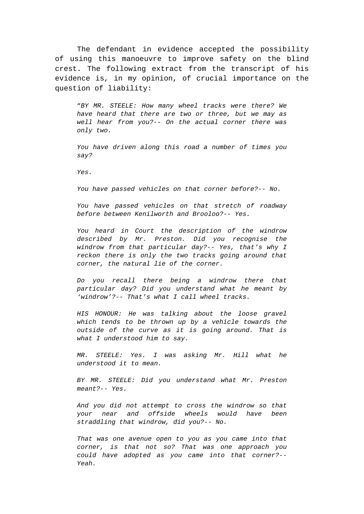The defendant in evidence accepted the possibility of using this manoeuvre to improve safety on the blind crest. The following extract from the transcript of his evidence is, in my opinion, of crucial importance on the question of liability:

"*BY MR. STEELE: How many wheel tracks were there? We have heard that there are two or three, but we may as well hear from you?-- On the actual corner there was only two.*

*You have driven along this road a number of times you say?*

*Yes.*

*You have passed vehicles on that corner before?-- No.*

*You have passed vehicles on that stretch of roadway before between Kenilworth and Brooloo?-- Yes.*

*You heard in Court the description of the windrow described by Mr. Preston. Did you recognise the windrow from that particular day?-- Yes, that's why I reckon there is only the two tracks going around that corner, the natural lie of the corner.*

*Do you recall there being a windrow there that particular day? Did you understand what he meant by 'windrow'?-- That's what I call wheel tracks.*

*HIS HONOUR: He was talking about the loose gravel which tends to be thrown up by a vehicle towards the outside of the curve as it is going around. That is what I understood him to say.*

*MR. STEELE: Yes. I was asking Mr. Hill what he understood it to mean.*

*BY MR. STEELE: Did you understand what Mr. Preston meant?-- Yes.*

*And you did not attempt to cross the windrow so that your near and offside wheels would have been straddling that windrow, did you?-- No.*

*That was one avenue open to you as you came into that corner, is that not so? That was one approach you could have adopted as you came into that corner?-- Yeah.*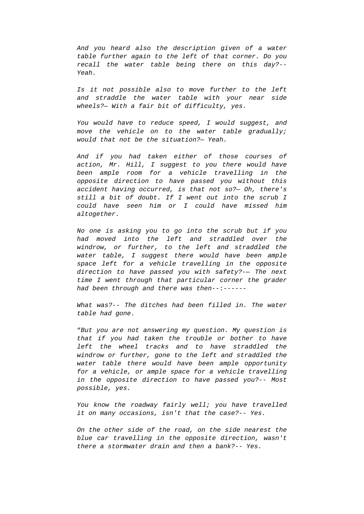*And you heard also the description given of a water table further again to the left of that corner. Do you recall the water table being there on this day?-- Yeah.*

*Is it not possible also to move further to the left and straddle the water table with your near side wheels?— With a fair bit of difficulty, yes.*

*You would have to reduce speed, I would suggest, and move the vehicle on to the water table gradually; would that not be the situation?— Yeah.*

*And if you had taken either of those courses of action, Mr. Hill, I suggest to you there would have been ample room for a vehicle travelling in the opposite direction to have passed you without this accident having occurred, is that not so?— Oh, there's still a bit of doubt. If I went out into the scrub I could have seen him or I could have missed him altogether.*

*No one is asking you to go into the scrub but if you had moved into the left and straddled over the windrow, or further, to the left and straddled the water table, I suggest there would have been ample space left for a vehicle travelling in the opposite direction to have passed you with safety?-— The next time I went through that particular corner the grader had been through and there was then*--:------

*What was?-- The ditches had been filled in. The water table had gone.*

"*But you are not answering my question. My question is that if you had taken the trouble or bother to have left the wheel tracks and to have straddled the windrow or further, gone to the left and straddled the water table there would have been ample opportunity for a vehicle, or ample space for a vehicle travelling in the opposite direction to have passed you?-- Most possible, yes.*

*You know the roadway fairly well; you have travelled it on many occasions, isn't that the case?-- Yes.*

*On the other side of the road, on the side nearest the blue car travelling in the opposite direction, wasn't there a stormwater drain and then a bank?-- Yes.*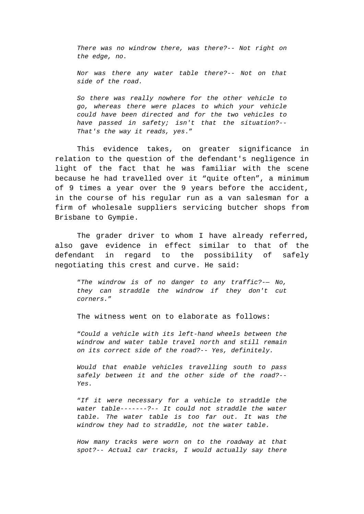*There was no windrow there, was there?-- Not right on the edge, no.*

*Nor was there any water table there?-- Not on that side of the road.*

*So there was really nowhere for the other vehicle to go, whereas there were places to which your vehicle could have been directed and for the two vehicles to have passed in safety; isn't that the situation?-- That's the way it reads, yes*."

This evidence takes, on greater significance in relation to the question of the defendant's negligence in light of the fact that he was familiar with the scene because he had travelled over it "quite often", a minimum of 9 times a year over the 9 years before the accident, in the course of his regular run as a van salesman for a firm of wholesale suppliers servicing butcher shops from Brisbane to Gympie.

The grader driver to whom I have already referred, also gave evidence in effect similar to that of the defendant in regard to the possibility of safely negotiating this crest and curve. He said:

"*The windrow is of no danger to any traffic?-— No, they can straddle the windrow if they don't cut corners.*"

The witness went on to elaborate as follows:

"*Could a vehicle with its left-hand wheels between the windrow and water table travel north and still remain on its correct side of the road?-- Yes, definitely.*

*Would that enable vehicles travelling south to pass safely between it and the other side of the road?-- Yes.*

"*If it were necessary for a vehicle to straddle the water table-------?-- It could not straddle the water table. The water table is too far out. It was the windrow they had to straddle, not the water table.*

*How many tracks were worn on to the roadway at that spot?-- Actual car tracks, I would actually say there*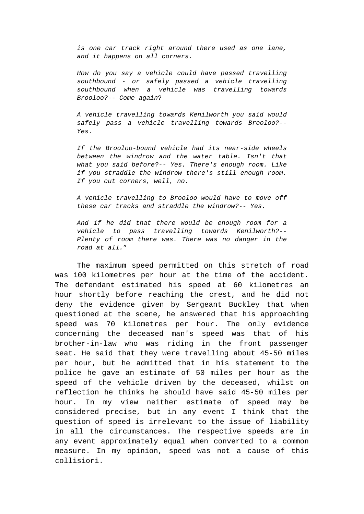*is one car track right around there used as one lane, and it happens on all corners.*

*How do you say a vehicle could have passed travelling southbound - or safely passed a vehicle travelling southbound when a vehicle was travelling towards Brooloo?-- Come again*?

*A vehicle travelling towards Kenilworth you said would safely pass a vehicle travelling towards Brooloo?-- Yes*.

*If the Brooloo-bound vehicle had its near-side wheels between the windrow and the water table. Isn't that what you said before?-- Yes. There's enough room. Like if you straddle the windrow there's still enough room. If you cut corners, well, no.*

*A vehicle travelling to Brooloo would have to move off these car tracks and straddle the windrow?-- Yes.*

*And if he did that there would be enough room for a vehicle to pass travelling towards Kenilworth?-- Plenty of room there was. There was no danger in the road at all.*"

The maximum speed permitted on this stretch of road was 100 kilometres per hour at the time of the accident. The defendant estimated his speed at 60 kilometres an hour shortly before reaching the crest, and he did not deny the evidence given by Sergeant Buckley that when questioned at the scene, he answered that his approaching speed was 70 kilometres per hour. The only evidence concerning the deceased man's speed was that of his brother-in-law who was riding in the front passenger seat. He said that they were travelling about 45-50 miles per hour, but he admitted that in his statement to the police he gave an estimate of 50 miles per hour as the speed of the vehicle driven by the deceased, whilst on reflection he thinks he should have said 45-50 miles per hour. In my view neither estimate of speed may be considered precise, but in any event I think that the question of speed is irrelevant to the issue of liability in all the circumstances. The respective speeds are in any event approximately equal when converted to a common measure. In my opinion, speed was not a cause of this collisiori.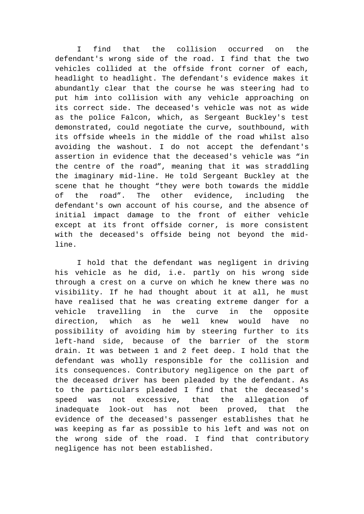I find that the collision occurred on the defendant's wrong side of the road. I find that the two vehicles collided at the offside front corner of each, headlight to headlight. The defendant's evidence makes it abundantly clear that the course he was steering had to put him into collision with any vehicle approaching on its correct side. The deceased's vehicle was not as wide as the police Falcon, which, as Sergeant Buckley's test demonstrated, could negotiate the curve, southbound, with its offside wheels in the middle of the road whilst also avoiding the washout. I do not accept the defendant's assertion in evidence that the deceased's vehicle was "in the centre of the road", meaning that it was straddling the imaginary mid-line. He told Sergeant Buckley at the scene that he thought "they were both towards the middle of the road". The other evidence, including the defendant's own account of his course, and the absence of initial impact damage to the front of either vehicle except at its front offside corner, is more consistent with the deceased's offside being not beyond the midline.

I hold that the defendant was negligent in driving his vehicle as he did, i.e. partly on his wrong side through a crest on a curve on which he knew there was no visibility. If he had thought about it at all, he must have realised that he was creating extreme danger for a vehicle travelling in the curve in the opposite direction, which as he well knew would have no possibility of avoiding him by steering further to its left-hand side, because of the barrier of the storm drain. It was between 1 and 2 feet deep. I hold that the defendant was wholly responsible for the collision and its consequences. Contributory negligence on the part of the deceased driver has been pleaded by the defendant. As to the particulars pleaded I find that the deceased's speed was not excessive, that the allegation of inadequate look-out has not been proved, that the evidence of the deceased's passenger establishes that he was keeping as far as possible to his left and was not on the wrong side of the road. I find that contributory negligence has not been established.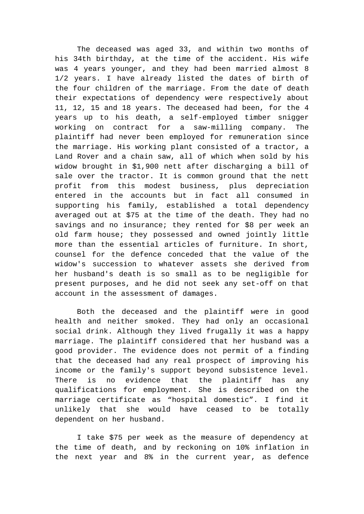The deceased was aged 33, and within two months of his 34th birthday, at the time of the accident. His wife was 4 years younger, and they had been married almost 8 1/2 years. I have already listed the dates of birth of the four children of the marriage. From the date of death their expectations of dependency were respectively about 11, 12, 15 and 18 years. The deceased had been, for the 4 years up to his death, a self-employed timber snigger working on contract for a saw-milling company. The plaintiff had never been employed for remuneration since the marriage. His working plant consisted of a tractor, a Land Rover and a chain saw, all of which when sold by his widow brought in \$1,900 nett after discharging a bill of sale over the tractor. It is common ground that the nett profit from this modest business, plus depreciation entered in the accounts but in fact all consumed in supporting his family, established a total dependency averaged out at \$75 at the time of the death. They had no savings and no insurance; they rented for \$8 per week an old farm house; they possessed and owned jointly little more than the essential articles of furniture. In short, counsel for the defence conceded that the value of the widow's succession to whatever assets she derived from her husband's death is so small as to be negligible for present purposes, and he did not seek any set-off on that account in the assessment of damages.

Both the deceased and the plaintiff were in good health and neither smoked. They had only an occasional social drink. Although they lived frugally it was a happy marriage. The plaintiff considered that her husband was a good provider. The evidence does not permit of a finding that the deceased had any real prospect of improving his income or the family's support beyond subsistence level. There is no evidence that the plaintiff has any qualifications for employment. She is described on the marriage certificate as "hospital domestic". I find it unlikely that she would have ceased to be totally dependent on her husband.

I take \$75 per week as the measure of dependency at the time of death, and by reckoning on 10% inflation in the next year and 8% in the current year, as defence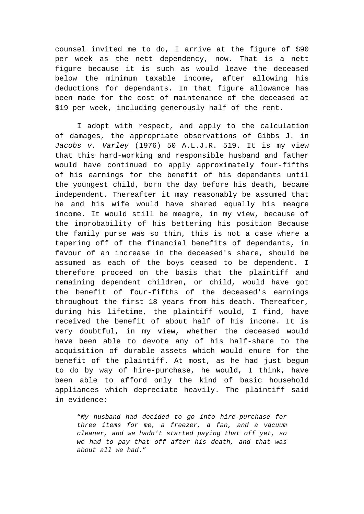counsel invited me to do, I arrive at the figure of \$90 per week as the nett dependency, now. That is a nett figure because it is such as would leave the deceased below the minimum taxable income, after allowing his deductions for dependants. In that figure allowance has been made for the cost of maintenance of the deceased at \$19 per week, including generously half of the rent.

I adopt with respect, and apply to the calculation of damages, the appropriate observations of Gibbs J. in *Jacobs v. Varley* (1976) 50 A.L.J.R. 519. It is my view that this hard-working and responsible husband and father would have continued to apply approximately four-fifths of his earnings for the benefit of his dependants until the youngest child, born the day before his death, became independent. Thereafter it may reasonably be assumed that he and his wife would have shared equally his meagre income. It would still be meagre, in my view, because of the improbability of his bettering his position Because the family purse was so thin, this is not a case where a tapering off of the financial benefits of dependants, in favour of an increase in the deceased's share, should be assumed as each of the boys ceased to be dependent. I therefore proceed on the basis that the plaintiff and remaining dependent children, or child, would have got the benefit of four-fifths of the deceased's earnings throughout the first 18 years from his death. Thereafter, during his lifetime, the plaintiff would, I find, have received the benefit of about half of his income. It is very doubtful, in my view, whether the deceased would have been able to devote any of his half-share to the acquisition of durable assets which would enure for the benefit of the plaintiff. At most, as he had just begun to do by way of hire-purchase, he would, I think, have been able to afford only the kind of basic household appliances which depreciate heavily. The plaintiff said in evidence:

"*My husband had decided to go into hire-purchase for three items for me, a freezer, a fan, and a vacuum cleaner, and we hadn't started paying that off yet, so we had to pay that off after his death, and that was about all we had*."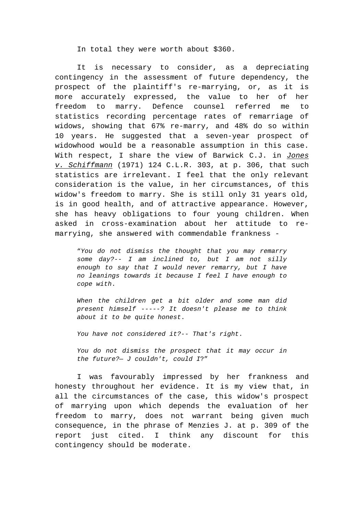In total they were worth about \$360.

It is necessary to consider, as a depreciating contingency in the assessment of future dependency, the prospect of the plaintiff's re-marrying, or, as it is more accurately expressed, the value to her of her freedom to marry. Defence counsel referred me to statistics recording percentage rates of remarriage of widows, showing that 67% re-marry, and 48% do so within 10 years. He suggested that a seven-year prospect of widowhood would be a reasonable assumption in this case. With respect, I share the view of Barwick C.J. in *Jones v. Schiffmann* (1971) 124 C.L.R. 303, at p. 306, that such statistics are irrelevant. I feel that the only relevant consideration is the value, in her circumstances, of this widow's freedom to marry. She is still only 31 years old, is in good health, and of attractive appearance. However, she has heavy obligations to four young children. When asked in cross-examination about her attitude to remarrying, she answered with commendable frankness -

"*You do not dismiss the thought that you may remarry some day?-- I am inclined to, but I am not silly enough to say that I would never remarry, but I have no leanings towards it because I feel I have enough to cope with*.

*When the children get a bit older and some man did present himself -----? It doesn't please me to think about it to be quite honest*.

*You have not considered it?-- That's right*.

*You do not dismiss the prospect that it may occur in the future?— J couldn't, could I*?"

I was favourably impressed by her frankness and honesty throughout her evidence. It is my view that, in all the circumstances of the case, this widow's prospect of marrying upon which depends the evaluation of her freedom to marry, does not warrant being given much consequence, in the phrase of Menzies J. at p. 309 of the report just cited. I think any discount for this contingency should be moderate.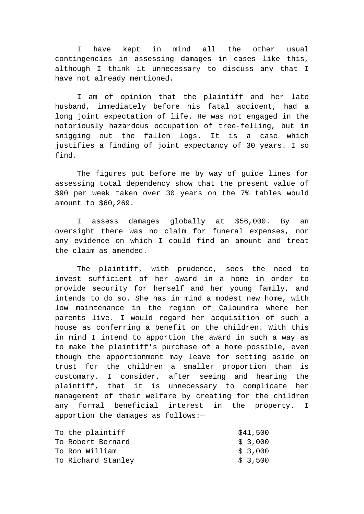I have kept in mind all the other usual contingencies in assessing damages in cases like this, although I think it unnecessary to discuss any that I have not already mentioned.

I am of opinion that the plaintiff and her late husband, immediately before his fatal accident, had a long joint expectation of life. He was not engaged in the notoriously hazardous occupation of tree-felling, but in snigging out the fallen logs. It is a case which justifies a finding of joint expectancy of 30 years. I so find.

The figures put before me by way of guide lines for assessing total dependency show that the present value of \$90 per week taken over 30 years on the 7% tables would amount to \$60,269.

I assess damages globally at \$56,000. By an oversight there was no claim for funeral expenses, nor any evidence on which I could find an amount and treat the claim as amended.

The plaintiff, with prudence, sees the need to invest sufficient of her award in a home in order to provide security for herself and her young family, and intends to do so. She has in mind a modest new home, with low maintenance in the region of Caloundra where her parents live. I would regard her acquisition of such a house as conferring a benefit on the children. With this in mind I intend to apportion the award in such a way as to make the plaintiff's purchase of a home possible, even though the apportionment may leave for setting aside on trust for the children a smaller proportion than is customary. I consider, after seeing and hearing the plaintiff, that it is unnecessary to complicate her management of their welfare by creating for the children any formal beneficial interest in the property. I apportion the damages as follows:—

| To the plaintiff   | \$41,500 |
|--------------------|----------|
| To Robert Bernard  | \$3,000  |
| To Ron William     | \$3,000  |
| To Richard Stanley | \$3,500  |